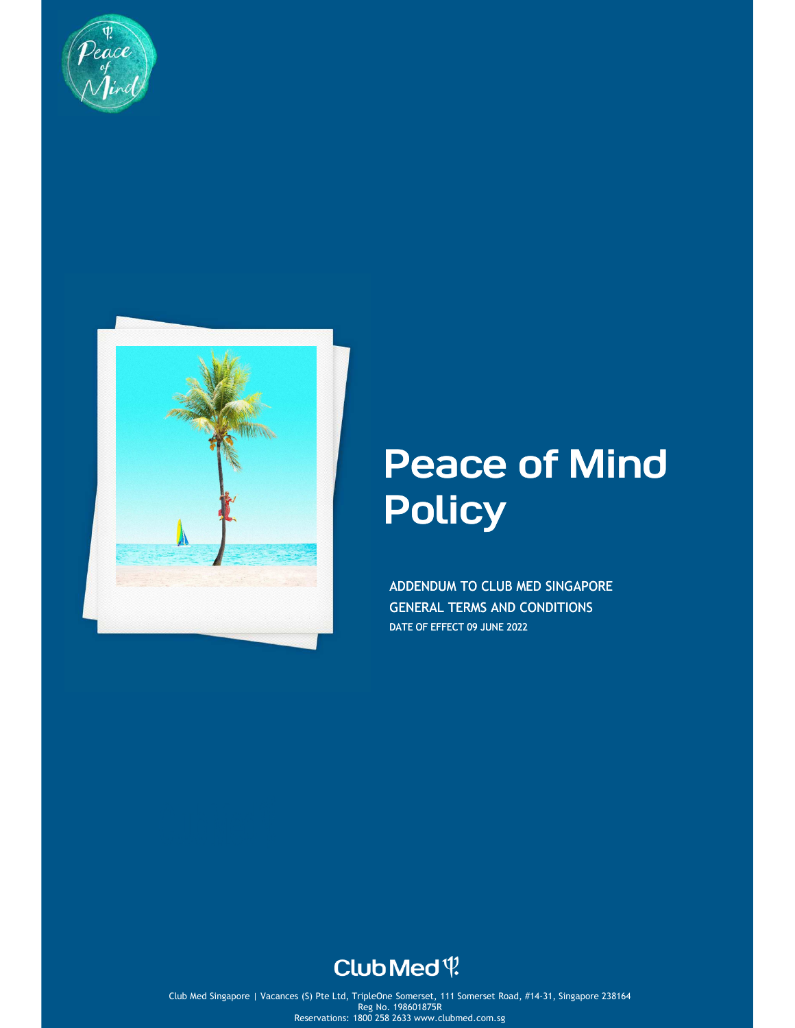



# Peace of Mind **Policy**

ADDENDUM TO CLUB MED SINGAPORE GENERAL TERMS AND CONDITIONS DATE OF EFFECT 09 JUNE 2022

# Club Med ?

pore | Vacances (S) Pte Ltd, TripleOne Somerset, 111 Somerset Road, #14-31, S  $\mathsf{Reg}(\mathsf{No},\mathsf{198601875R})$  and  $\mathsf{Ceg}(\mathsf{No},\mathsf{198601875R})$  and  $\mathsf{Ceg}(\mathsf{No},\mathsf{198601875R})$ Club Med Singapore | Vacances (S) Pte Ltd, TripleOne Somerset, 111 Somerset Road, #14-31, Singapore 238164 Reg No. 198601875R Reservations: 1800 258 2633 www.clubmed.com.sg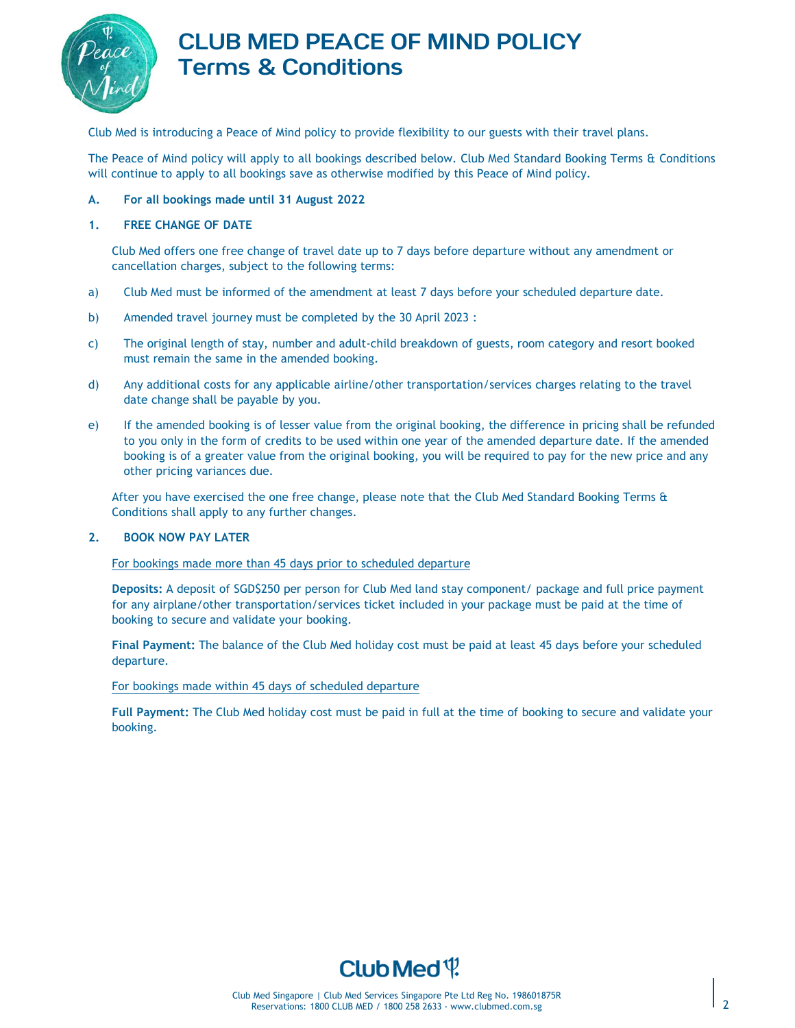

## CLUB MED PEACE OF MIND POLICY Terms & Conditions

Club Med is introducing a Peace of Mind policy to provide flexibility to our guests with their travel plans.

The Peace of Mind policy will apply to all bookings described below. Club Med Standard Booking Terms & Conditions will continue to apply to all bookings save as otherwise modified by this Peace of Mind policy.

#### **A. For all bookings made until 31 August 2022**

#### **1. FREE CHANGE OF DATE**

Club Med offers one free change of travel date up to 7 days before departure without any amendment or cancellation charges, subject to the following terms:

- a) Club Med must be informed of the amendment at least 7 days before your scheduled departure date.
- b) Amended travel journey must be completed by the 30 April 2023 :
- c) The original length of stay, number and adult-child breakdown of guests, room category and resort booked must remain the same in the amended booking.
- d) Any additional costs for any applicable airline/other transportation/services charges relating to the travel date change shall be payable by you.
- e) If the amended booking is of lesser value from the original booking, the difference in pricing shall be refunded to you only in the form of credits to be used within one year of the amended departure date. If the amended booking is of a greater value from the original booking, you will be required to pay for the new price and any other pricing variances due.

After you have exercised the one free change, please note that the Club Med Standard Booking Terms & Conditions shall apply to any further changes.

#### **2. BOOK NOW PAY LATER**

#### For bookings made more than 45 days prior to scheduled departure

**Deposits:** A deposit of SGD\$250 per person for Club Med land stay component/ package and full price payment for any airplane/other transportation/services ticket included in your package must be paid at the time of booking to secure and validate your booking.

**Final Payment:** The balance of the Club Med holiday cost must be paid at least 45 days before your scheduled departure.

#### For bookings made within 45 days of scheduled departure

**Full Payment:** The Club Med holiday cost must be paid in full at the time of booking to secure and validate your booking.